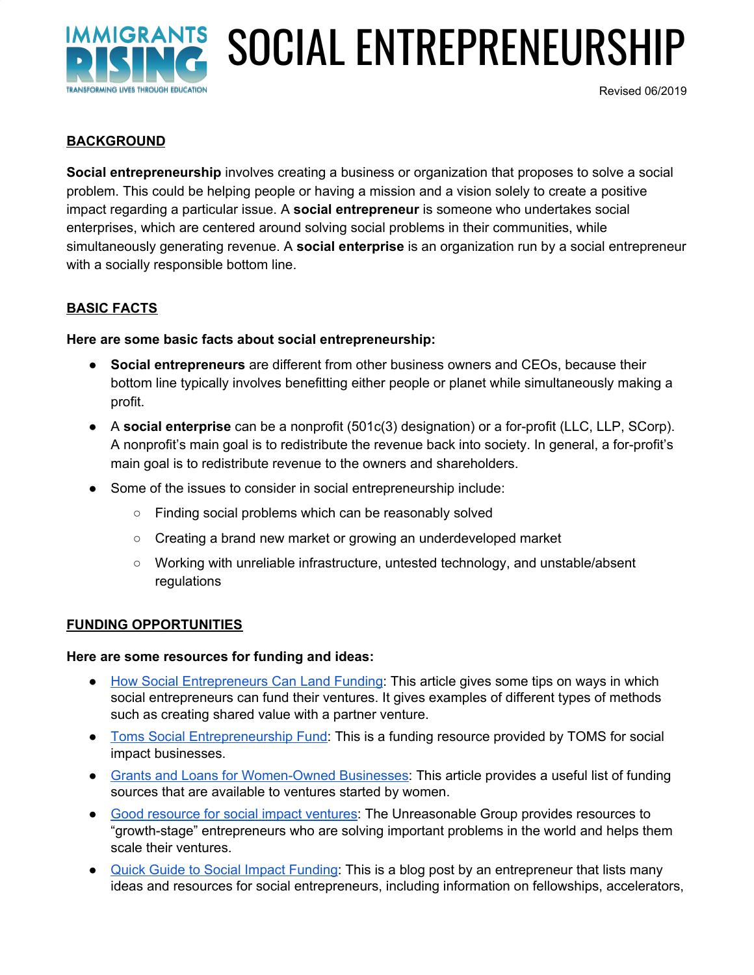

# SOCIAL ENTREPRENEURSHIP

Revised 06/2019

#### **BACKGROUND**

**Social entrepreneurship** involves creating a business or organization that proposes to solve a social problem. This could be helping people or having a mission and a vision solely to create a positive impact regarding a particular issue. A **social entrepreneur** is someone who undertakes social enterprises, which are centered around solving social problems in their communities, while simultaneously generating revenue. A **social enterprise** is an organization run by a social entrepreneur with a socially responsible bottom line.

#### **BASIC FACTS**

#### **Here are some basic facts about social entrepreneurship:**

- **Social entrepreneurs** are different from other business owners and CEOs, because their bottom line typically involves benefitting either people or planet while simultaneously making a profit.
- A **social enterprise** can be a nonprofit (501c(3) designation) or a for-profit (LLC, LLP, SCorp). A nonprofit's main goal is to redistribute the revenue back into society. In general, a for-profit's main goal is to redistribute revenue to the owners and shareholders.
- Some of the issues to consider in social entrepreneurship include:
	- Finding social problems which can be reasonably solved
	- Creating a brand new market or growing an underdeveloped market
	- Working with unreliable infrastructure, untested technology, and unstable/absent regulations

#### **FUNDING OPPORTUNITIES**

#### **Here are some resources for funding and ideas:**

- How Social [Entrepreneurs](https://www.entrepreneur.com/article/290808) Can Land Funding: This article gives some tips on ways in which social entrepreneurs can fund their ventures. It gives examples of different types of methods such as creating shared value with a partner venture.
- Toms Social [Entrepreneurship](http://www.tomssefund.com/) Fund: This is a funding resource provided by TOMS for social impact businesses.
- Grants and Loans for [Women-Owned](https://www.entrepreneur.com/article/290807) Businesses: This article provides a useful list of funding sources that are available to ventures started by women.
- Good [resource](https://unreasonablegroup.com/initiatives/) for social impact ventures: The Unreasonable Group provides resources to "growth-stage" entrepreneurs who are solving important problems in the world and helps them scale their ventures.
- Quick Guide to Social Impact [Funding](https://www.socialgoodimpact.com/blog/social-enterprise-funding): This is a blog post by an entrepreneur that lists many ideas and resources for social entrepreneurs, including information on fellowships, accelerators,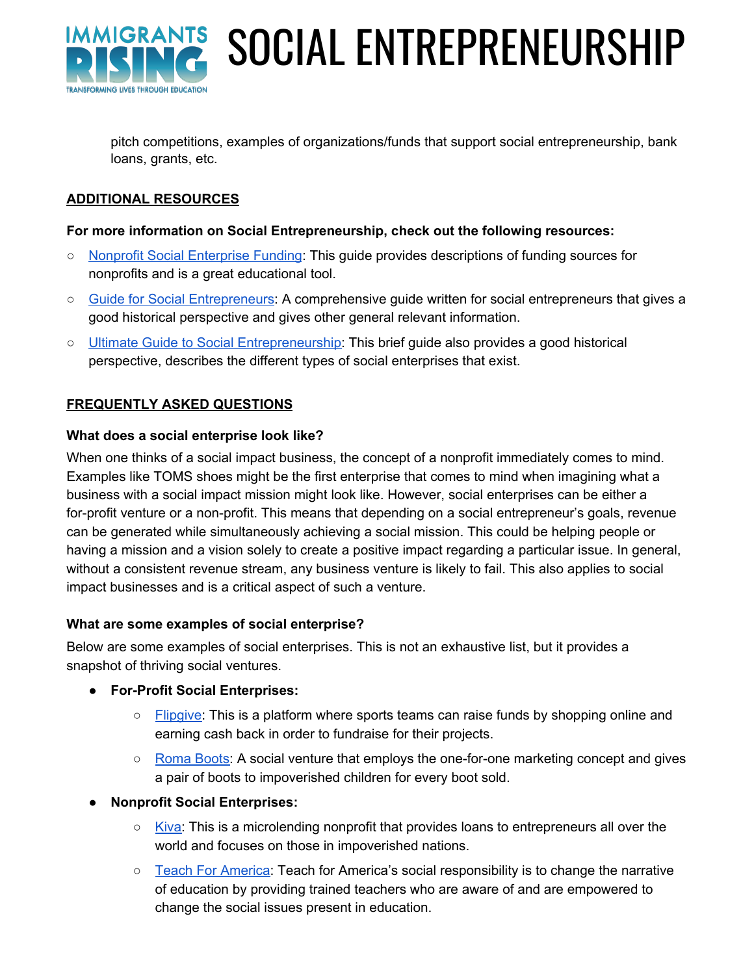

SOCIAL ENTREPRENEURSHIP

pitch competitions, examples of organizations/funds that support social entrepreneurship, bank loans, grants, etc.

## **ADDITIONAL RESOURCES**

#### **For more information on Social Entrepreneurship, check out the following resources:**

- Nonprofit Social [Enterprise](http://greenlining.org/wp-content/uploads/2013/02/G4ASocialEnterpriseBrief.pdf) Funding: This guide provides descriptions of funding sources for nonprofits and is a great educational tool.
- Guide for Social [Entrepreneurs:](http://www.animaweb.org/sites/default/files/emi-social-entrepreneurship-guide.pdf) A comprehensive guide written for social entrepreneurs that gives a good historical perspective and gives other general relevant information.
- o Ultimate Guide to Social [Entrepreneurship:](https://www.cleverism.com/ultimate-guide-social-entrepreneurship/) This brief guide also provides a good historical perspective, describes the different types of social enterprises that exist.

#### **FREQUENTLY ASKED QUESTIONS**

#### **What does a social enterprise look like?**

When one thinks of a social impact business, the concept of a nonprofit immediately comes to mind. Examples like TOMS shoes might be the first enterprise that comes to mind when imagining what a business with a social impact mission might look like. However, social enterprises can be either a for-profit venture or a non-profit. This means that depending on a social entrepreneur's goals, revenue can be generated while simultaneously achieving a social mission. This could be helping people or having a mission and a vision solely to create a positive impact regarding a particular issue. In general, without a consistent revenue stream, any business venture is likely to fail. This also applies to social impact businesses and is a critical aspect of such a venture.

#### **What are some examples of social enterprise?**

Below are some examples of social enterprises. This is not an exhaustive list, but it provides a snapshot of thriving social ventures.

- **● For-Profit Social Enterprises:**
	- [Flipgive:](https://www.flipgive.com/) This is a platform where sports teams can raise funds by shopping online and earning cash back in order to fundraise for their projects.
	- [Roma](https://romaboots.com/) Boots: A social venture that employs the one-for-one marketing concept and gives a pair of boots to impoverished children for every boot sold.
- **Nonprofit Social Enterprises:**
	- [Kiva:](https://www.kiva.org/) This is a microlending nonprofit that provides loans to entrepreneurs all over the world and focuses on those in impoverished nations.
	- Teach For [America:](https://www.teachforamerica.org/) Teach for America's social responsibility is to change the narrative of education by providing trained teachers who are aware of and are empowered to change the social issues present in education.